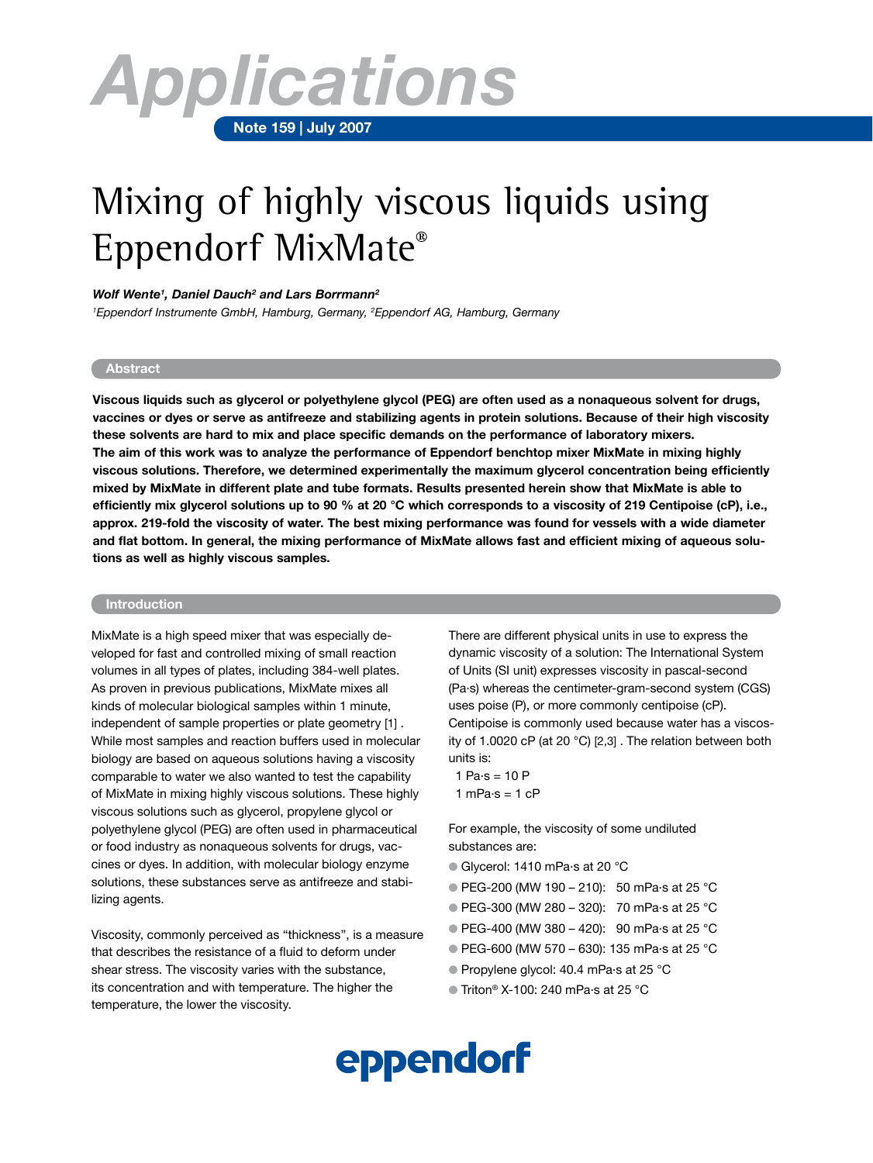

# Mixing of highly viscous liquids using Eppendorf MixMate®

#### Wolf Wente<sup>1</sup>, Daniel Dauch<sup>2</sup> and Lars Borrmann<sup>2</sup>

*1 Eppendorf Instrumente GmbH, Hamburg, Germany, 2 Eppendorf AG, Hamburg, Germany*

#### **Abstract**

**Viscous liquids such as glycerol or polyethylene glycol (PEG) are often used as a nonaqueous solvent for drugs, vaccines or dyes or serve as antifreeze and stabilizing agents in protein solutions. Because of their high viscosity these solvents are hard to mix and place specific demands on the performance of laboratory mixers. The aim of this work was to analyze the performance of Eppendorf benchtop mixer MixMate in mixing highly viscous solutions. Therefore, we determined experimentally the maximum glycerol concentration being efficiently mixed by MixMate in different plate and tube formats. Results presented herein show that MixMate is able to efficiently mix glycerol solutions up to 90 % at 20 °C which corresponds to a viscosity of 219 Centipoise (cP), i.e., approx. 219-fold the viscosity of water. The best mixing performance was found for vessels with a wide diameter and flat bottom. In general, the mixing performance of MixMate allows fast and efficient mixing of aqueous solutions as well as highly viscous samples.**

### **Introduction**

MixMate is a high speed mixer that was especially developed for fast and controlled mixing of small reaction volumes in all types of plates, including 384-well plates. As proven in previous publications, MixMate mixes all kinds of molecular biological samples within 1 minute, independent of sample properties or plate geometry [1] . While most samples and reaction buffers used in molecular biology are based on aqueous solutions having a viscosity comparable to water we also wanted to test the capability of MixMate in mixing highly viscous solutions. These highly viscous solutions such as glycerol, propylene glycol or polyethylene glycol (PEG) are often used in pharmaceutical or food industry as nonaqueous solvents for drugs, vaccines or dyes. In addition, with molecular biology enzyme solutions, these substances serve as antifreeze and stabilizing agents.

Viscosity, commonly perceived as "thickness", is a measure that describes the resistance of a fluid to deform under shear stress. The viscosity varies with the substance, its concentration and with temperature. The higher the temperature, the lower the viscosity.

There are different physical units in use to express the dynamic viscosity of a solution: The International System of Units (SI unit) expresses viscosity in pascal-second (Pa·s) whereas the centimeter-gram-second system (CGS) uses poise (P), or more commonly centipoise (cP). Centipoise is commonly used because water has a viscosity of 1.0020 cP (at 20 °C) [2,3] . The relation between both units is:

 $1 \text{ Pa·s} = 10 \text{ P}$ 1 mPa $\cdot$ s = 1 cP

For example, the viscosity of some undiluted substances are:

- **Glycerol: 1410 mPa.s at 20 °C**
- PEG-200 (MW 190 210): 50 mPa·s at 25 °C
- **PEG-300 (MW 280 320): 70 mPa·s at 25 °C**
- l PEG-400 (MW 380 420): 90 mPa.s at 25 °C
- l PEG-600 (MW 570 630): 135 mPa.s at 25 °C
- **Propylene glycol: 40.4 mPa.s at 25 °C**
- $\bullet$  Triton<sup>®</sup> X-100: 240 mPa.s at 25 °C

## eppendorf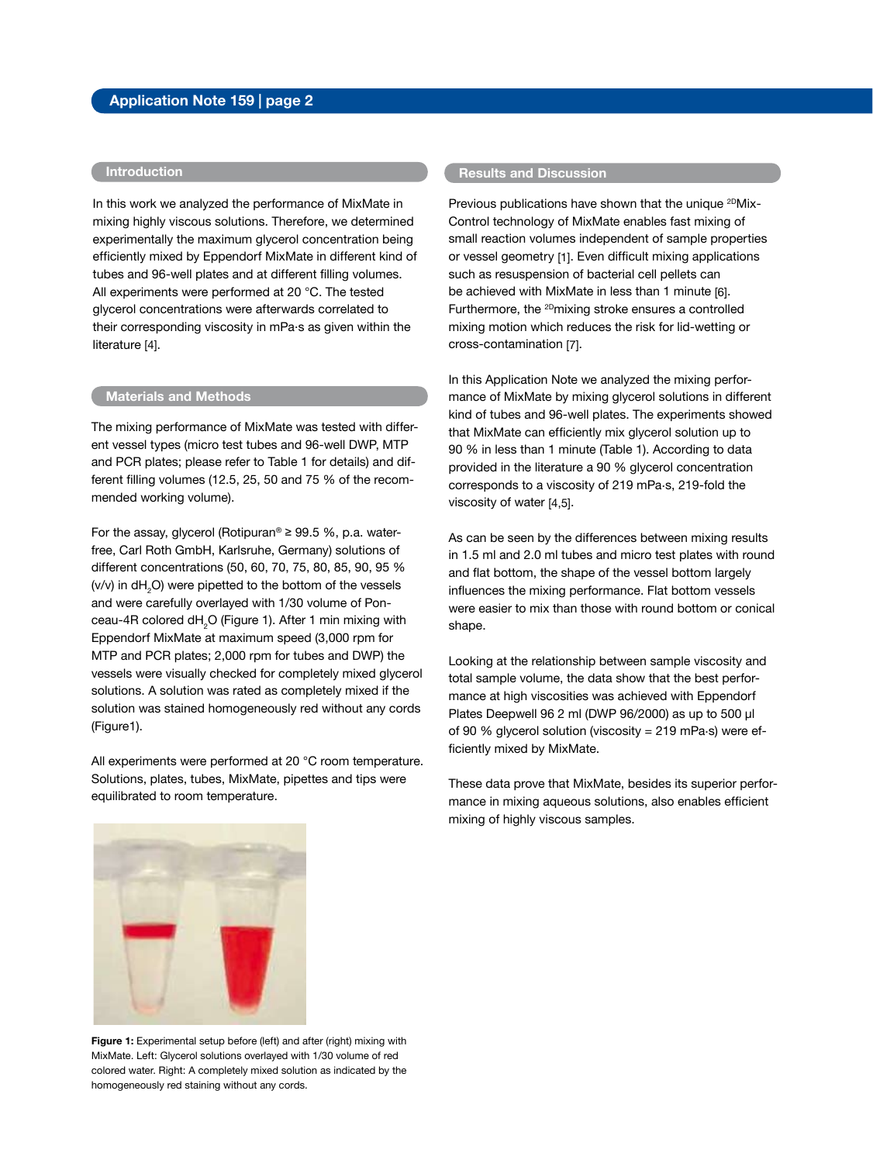## **Introduction**

In this work we analyzed the performance of MixMate in mixing highly viscous solutions. Therefore, we determined experimentally the maximum glycerol concentration being efficiently mixed by Eppendorf MixMate in different kind of tubes and 96-well plates and at different filling volumes. All experiments were performed at 20 °C. The tested glycerol concentrations were afterwards correlated to their corresponding viscosity in mPa.s as given within the literature [4].

#### **Materials and Methods**

The mixing performance of MixMate was tested with different vessel types (micro test tubes and 96-well DWP, MTP and PCR plates; please refer to Table 1 for details) and different filling volumes (12.5, 25, 50 and 75 % of the recommended working volume).

For the assay, glycerol (Rotipuran® ≥ 99.5 %, p.a. waterfree, Carl Roth GmbH, Karlsruhe, Germany) solutions of different concentrations (50, 60, 70, 75, 80, 85, 90, 95 % (v/v) in dH $_{\rm 2}$ O) were pipetted to the bottom of the vessels and were carefully overlayed with 1/30 volume of Ponceau-4R colored dH $_{\tiny 2}$ O (Figure 1). After 1 min mixing with Eppendorf MixMate at maximum speed (3,000 rpm for MTP and PCR plates; 2,000 rpm for tubes and DWP) the vessels were visually checked for completely mixed glycerol solutions. A solution was rated as completely mixed if the solution was stained homogeneously red without any cords (Figure1).

All experiments were performed at 20 °C room temperature. Solutions, plates, tubes, MixMate, pipettes and tips were equilibrated to room temperature.

## **Results and Discussion**

Previous publications have shown that the unique <sup>2D</sup>Mix-Control technology of MixMate enables fast mixing of small reaction volumes independent of sample properties or vessel geometry [1]. Even difficult mixing applications such as resuspension of bacterial cell pellets can be achieved with MixMate in less than 1 minute [6]. Furthermore, the <sup>2D</sup>mixing stroke ensures a controlled mixing motion which reduces the risk for lid-wetting or cross-contamination [7].

In this Application Note we analyzed the mixing performance of MixMate by mixing glycerol solutions in different kind of tubes and 96-well plates. The experiments showed that MixMate can efficiently mix glycerol solution up to 90 % in less than 1 minute (Table 1). According to data provided in the literature a 90 % glycerol concentration corresponds to a viscosity of 219 mPa.s, 219-fold the viscosity of water [4,5].

As can be seen by the differences between mixing results in 1.5 ml and 2.0 ml tubes and micro test plates with round and flat bottom, the shape of the vessel bottom largely influences the mixing performance. Flat bottom vessels were easier to mix than those with round bottom or conical shape.

Looking at the relationship between sample viscosity and total sample volume, the data show that the best performance at high viscosities was achieved with Eppendorf Plates Deepwell 96 2 ml (DWP 96/2000) as up to 500 µl of 90 % glycerol solution (viscosity = 219 mPa.s) were efficiently mixed by MixMate.

These data prove that MixMate, besides its superior performance in mixing aqueous solutions, also enables efficient mixing of highly viscous samples.



**Figure 1:** Experimental setup before (left) and after (right) mixing with MixMate. Left: Glycerol solutions overlayed with 1/30 volume of red colored water. Right: A completely mixed solution as indicated by the homogeneously red staining without any cords.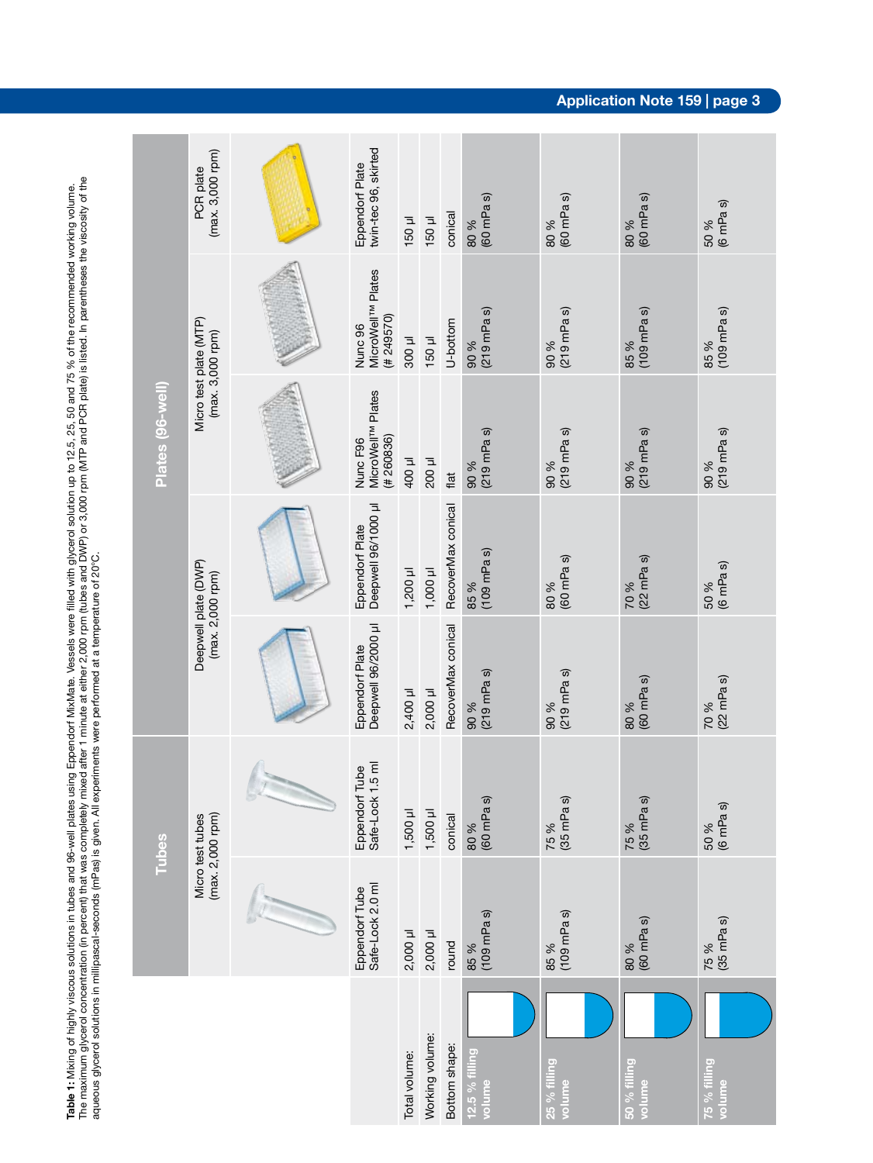Table 1: Mixing of highly viscous solutions in tubes and 96-well plates using Eppendorf MixMate. Vessels were filled with givcerol solution up to 12.5, 25, 50 and 75 % of the recommended working volume.<br>The maximum glycero The maximum glycerol concentration (in percent) that was completely mixed after 1 minute at either 2,000 rpm (tubes and DWP) or 3,000 rpm (MTP and PCR plate) is listed. In parentheses the viscosity of the **Table 1:** Mixing of highly viscous solutions in tubes and 96-well plates using Eppendorf MixMate. Vessels were filled with glycerol solution up to 12.5, 25, 50 and 75 % of the recommended working volume. aqueous glycerol solutions in millipascal-seconds (mPas) is given. All experiments were performed at a temperature of 20°C.

| Plates (96-well) | (max. 3,000 rpm)<br>PCR plate                   | twin-tec 96, skirted<br>Eppendorf Plate                             | 150 µl        | 150 µl          | conical            | (60 mPa s)<br>80 %            | 80 %<br>(60 mPa s)            | (60 mPa s)<br>80 %            | 50 %<br>(6 mPa s)             |
|------------------|-------------------------------------------------|---------------------------------------------------------------------|---------------|-----------------|--------------------|-------------------------------|-------------------------------|-------------------------------|-------------------------------|
|                  | Micro test plate (MTP)<br>$(max. 3,000$ rpm $)$ | MicroWell <sup>TM</sup> Plates<br>(#249570)<br>Nunc 96              | 1100g         | 150 µl          | U-bottom           | $(219$ mPas)<br>90 %          | $(219 \text{ mPa s})$<br>90 % | $(109 \text{ mPa s})$<br>85 % | $(109 \text{ mPa s})$<br>85 % |
|                  |                                                 | MicroWell <sup>TM</sup> Plates<br>(# 260836)<br>Nunc <sub>F96</sub> | 400 µl        | 200 µl          | flat               | $(219 \text{ mPa s})$<br>90 % | $(219 \text{ mPa s})$<br>90%  | $(219$ mPa s)<br>90 %         | $(219 \text{ mPa s})$<br>90 % |
|                  | Deepwell plate (DWP)<br>(max. 2,000 rpm)        | Eppendorf Plate<br>Deepwell 96/1000 µl                              | 1,200 µ       | 1,000 µl        | RecoverMax conical | $(109 \text{ mPa s})$<br>85 % | 80 %<br>(60 mPa s)            | 70 %<br>(22 mPa s)            | 50 %<br>(6 mPa s)             |
|                  |                                                 | Eppendorf Plate<br>Deepwell 96/2000 µl                              | 2,400 µl      | 2,000 µl        | RecoverMax conical | $90\%$<br>(219 mPa s)         | $(219 \text{ mPa s})$<br>90 % | $(60$ mPas $)$<br>80 %        | 70 %<br>(22 mPa s)            |
| <b>Tubes</b>     | (max. 2,000 rpm)<br>Micro test tubes            | $.5 \text{ m}$<br>Eppendorf Tube<br>Safe-Lock 1.5 ml                | 1,500 µl      | 1,500 µ         | conical            | (60 mPa s)<br>80 %            | 75 %<br>(35 mPa s)            | 75 %<br>(35 mPa s)            | 50 %<br>(6 mPa s)             |
|                  |                                                 | Eppendorf Tube<br>Safe-Lock 2.0 ml                                  | 2,000 µ       | 2,000 µl        | round              | $(109$ mPas $)$<br>85 %       | $(109 \text{ mPa s})$<br>85 % | 80 %<br>(60 mPa s)            | 75 %<br>(35 mPa s)            |
|                  |                                                 |                                                                     | Total volume: | Working volume: | Bottom shape:      | 12.5 % filling<br>volume      | 25 % filling<br>volume        | 50 % filling<br>volume        | 25 % filling<br>volume        |

## **Application Note 159 | page 3**